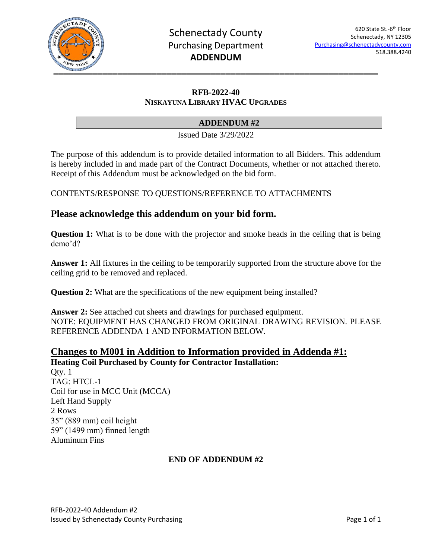

## **RFB-2022-40 NISKAYUNA LIBRARY HVAC UPGRADES**

## **ADDENDUM #2**

Issued Date 3/29/2022

The purpose of this addendum is to provide detailed information to all Bidders. This addendum is hereby included in and made part of the Contract Documents, whether or not attached thereto. Receipt of this Addendum must be acknowledged on the bid form.

CONTENTS/RESPONSE TO QUESTIONS/REFERENCE TO ATTACHMENTS

# **Please acknowledge this addendum on your bid form.**

**Question 1:** What is to be done with the projector and smoke heads in the ceiling that is being demo'd?

**Answer 1:** All fixtures in the ceiling to be temporarily supported from the structure above for the ceiling grid to be removed and replaced.

**Question 2:** What are the specifications of the new equipment being installed?

**Answer 2:** See attached cut sheets and drawings for purchased equipment. NOTE: EQUIPMENT HAS CHANGED FROM ORIGINAL DRAWING REVISION. PLEASE REFERENCE ADDENDA 1 AND INFORMATION BELOW.

## **Changes to M001 in Addition to Information provided in Addenda #1: Heating Coil Purchased by County for Contractor Installation:**

Qty. 1 TAG: HTCL-1 Coil for use in MCC Unit (MCCA) Left Hand Supply 2 Rows 35" (889 mm) coil height 59" (1499 mm) finned length Aluminum Fins

#### **END OF ADDENDUM #2**